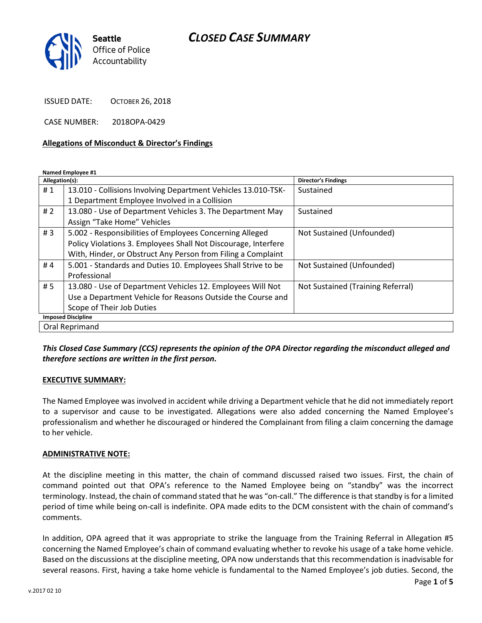# CLOSED CASE SUMMARY



ISSUED DATE: OCTOBER 26, 2018

CASE NUMBER: 2018OPA-0429

#### Allegations of Misconduct & Director's Findings

Named Employee #1

| Allegation(s):            |                                                                | <b>Director's Findings</b>        |
|---------------------------|----------------------------------------------------------------|-----------------------------------|
| #1                        | 13.010 - Collisions Involving Department Vehicles 13.010-TSK-  | Sustained                         |
|                           | 1 Department Employee Involved in a Collision                  |                                   |
| #2                        | 13.080 - Use of Department Vehicles 3. The Department May      | Sustained                         |
|                           | Assign "Take Home" Vehicles                                    |                                   |
| #3                        | 5.002 - Responsibilities of Employees Concerning Alleged       | Not Sustained (Unfounded)         |
|                           | Policy Violations 3. Employees Shall Not Discourage, Interfere |                                   |
|                           | With, Hinder, or Obstruct Any Person from Filing a Complaint   |                                   |
| #4                        | 5.001 - Standards and Duties 10. Employees Shall Strive to be  | Not Sustained (Unfounded)         |
|                           | Professional                                                   |                                   |
| # 5                       | 13.080 - Use of Department Vehicles 12. Employees Will Not     | Not Sustained (Training Referral) |
|                           | Use a Department Vehicle for Reasons Outside the Course and    |                                   |
|                           | Scope of Their Job Duties                                      |                                   |
| <b>Imposed Discipline</b> |                                                                |                                   |
| Oral Reprimand            |                                                                |                                   |

This Closed Case Summary (CCS) represents the opinion of the OPA Director regarding the misconduct alleged and therefore sections are written in the first person.

#### EXECUTIVE SUMMARY:

The Named Employee was involved in accident while driving a Department vehicle that he did not immediately report to a supervisor and cause to be investigated. Allegations were also added concerning the Named Employee's professionalism and whether he discouraged or hindered the Complainant from filing a claim concerning the damage to her vehicle.

#### ADMINISTRATIVE NOTE:

At the discipline meeting in this matter, the chain of command discussed raised two issues. First, the chain of command pointed out that OPA's reference to the Named Employee being on "standby" was the incorrect terminology. Instead, the chain of command stated that he was "on-call." The difference is that standby is for a limited period of time while being on-call is indefinite. OPA made edits to the DCM consistent with the chain of command's comments.

In addition, OPA agreed that it was appropriate to strike the language from the Training Referral in Allegation #5 concerning the Named Employee's chain of command evaluating whether to revoke his usage of a take home vehicle. Based on the discussions at the discipline meeting, OPA now understands that this recommendation is inadvisable for several reasons. First, having a take home vehicle is fundamental to the Named Employee's job duties. Second, the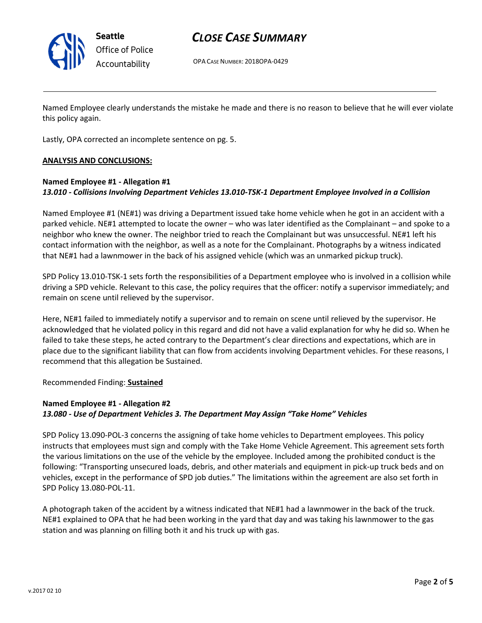

Seattle Office of Police Accountability

# CLOSE CASE SUMMARY

OPA CASE NUMBER: 2018OPA-0429

Named Employee clearly understands the mistake he made and there is no reason to believe that he will ever violate this policy again.

Lastly, OPA corrected an incomplete sentence on pg. 5.

#### ANALYSIS AND CONCLUSIONS:

### Named Employee #1 - Allegation #1 13.010 - Collisions Involving Department Vehicles 13.010-TSK-1 Department Employee Involved in a Collision

Named Employee #1 (NE#1) was driving a Department issued take home vehicle when he got in an accident with a parked vehicle. NE#1 attempted to locate the owner – who was later identified as the Complainant – and spoke to a neighbor who knew the owner. The neighbor tried to reach the Complainant but was unsuccessful. NE#1 left his contact information with the neighbor, as well as a note for the Complainant. Photographs by a witness indicated that NE#1 had a lawnmower in the back of his assigned vehicle (which was an unmarked pickup truck).

SPD Policy 13.010-TSK-1 sets forth the responsibilities of a Department employee who is involved in a collision while driving a SPD vehicle. Relevant to this case, the policy requires that the officer: notify a supervisor immediately; and remain on scene until relieved by the supervisor.

Here, NE#1 failed to immediately notify a supervisor and to remain on scene until relieved by the supervisor. He acknowledged that he violated policy in this regard and did not have a valid explanation for why he did so. When he failed to take these steps, he acted contrary to the Department's clear directions and expectations, which are in place due to the significant liability that can flow from accidents involving Department vehicles. For these reasons, I recommend that this allegation be Sustained.

Recommended Finding: Sustained

## Named Employee #1 - Allegation #2 13.080 - Use of Department Vehicles 3. The Department May Assign "Take Home" Vehicles

SPD Policy 13.090-POL-3 concerns the assigning of take home vehicles to Department employees. This policy instructs that employees must sign and comply with the Take Home Vehicle Agreement. This agreement sets forth the various limitations on the use of the vehicle by the employee. Included among the prohibited conduct is the following: "Transporting unsecured loads, debris, and other materials and equipment in pick-up truck beds and on vehicles, except in the performance of SPD job duties." The limitations within the agreement are also set forth in SPD Policy 13.080-POL-11.

A photograph taken of the accident by a witness indicated that NE#1 had a lawnmower in the back of the truck. NE#1 explained to OPA that he had been working in the yard that day and was taking his lawnmower to the gas station and was planning on filling both it and his truck up with gas.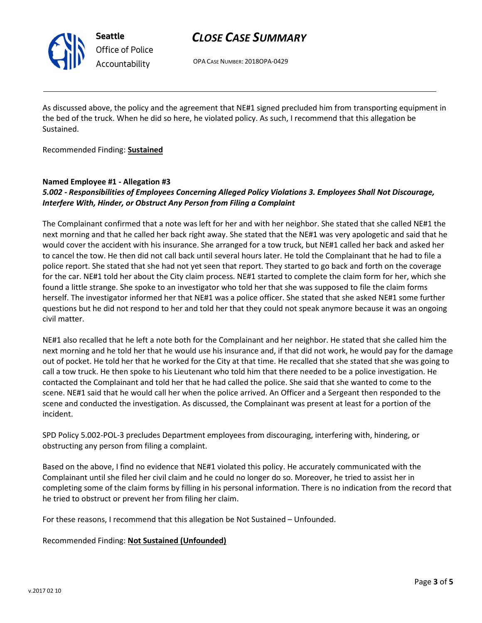

Seattle Office of Police Accountability

# CLOSE CASE SUMMARY

OPA CASE NUMBER: 2018OPA-0429

As discussed above, the policy and the agreement that NE#1 signed precluded him from transporting equipment in the bed of the truck. When he did so here, he violated policy. As such, I recommend that this allegation be Sustained.

Recommended Finding: Sustained

### Named Employee #1 - Allegation #3

### 5.002 - Responsibilities of Employees Concerning Alleged Policy Violations 3. Employees Shall Not Discourage, Interfere With, Hinder, or Obstruct Any Person from Filing a Complaint

The Complainant confirmed that a note was left for her and with her neighbor. She stated that she called NE#1 the next morning and that he called her back right away. She stated that the NE#1 was very apologetic and said that he would cover the accident with his insurance. She arranged for a tow truck, but NE#1 called her back and asked her to cancel the tow. He then did not call back until several hours later. He told the Complainant that he had to file a police report. She stated that she had not yet seen that report. They started to go back and forth on the coverage for the car. NE#1 told her about the City claim process. NE#1 started to complete the claim form for her, which she found a little strange. She spoke to an investigator who told her that she was supposed to file the claim forms herself. The investigator informed her that NE#1 was a police officer. She stated that she asked NE#1 some further questions but he did not respond to her and told her that they could not speak anymore because it was an ongoing civil matter.

NE#1 also recalled that he left a note both for the Complainant and her neighbor. He stated that she called him the next morning and he told her that he would use his insurance and, if that did not work, he would pay for the damage out of pocket. He told her that he worked for the City at that time. He recalled that she stated that she was going to call a tow truck. He then spoke to his Lieutenant who told him that there needed to be a police investigation. He contacted the Complainant and told her that he had called the police. She said that she wanted to come to the scene. NE#1 said that he would call her when the police arrived. An Officer and a Sergeant then responded to the scene and conducted the investigation. As discussed, the Complainant was present at least for a portion of the incident.

SPD Policy 5.002-POL-3 precludes Department employees from discouraging, interfering with, hindering, or obstructing any person from filing a complaint.

Based on the above, I find no evidence that NE#1 violated this policy. He accurately communicated with the Complainant until she filed her civil claim and he could no longer do so. Moreover, he tried to assist her in completing some of the claim forms by filling in his personal information. There is no indication from the record that he tried to obstruct or prevent her from filing her claim.

For these reasons, I recommend that this allegation be Not Sustained – Unfounded.

Recommended Finding: Not Sustained (Unfounded)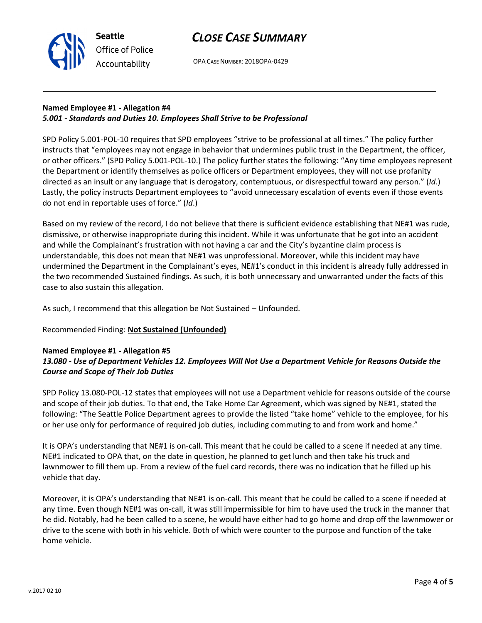

Seattle Office of Police Accountability

OPA CASE NUMBER: 2018OPA-0429

## Named Employee #1 - Allegation #4 5.001 - Standards and Duties 10. Employees Shall Strive to be Professional

SPD Policy 5.001-POL-10 requires that SPD employees "strive to be professional at all times." The policy further instructs that "employees may not engage in behavior that undermines public trust in the Department, the officer, or other officers." (SPD Policy 5.001-POL-10.) The policy further states the following: "Any time employees represent the Department or identify themselves as police officers or Department employees, they will not use profanity directed as an insult or any language that is derogatory, contemptuous, or disrespectful toward any person." (Id.) Lastly, the policy instructs Department employees to "avoid unnecessary escalation of events even if those events do not end in reportable uses of force." (Id.)

Based on my review of the record, I do not believe that there is sufficient evidence establishing that NE#1 was rude, dismissive, or otherwise inappropriate during this incident. While it was unfortunate that he got into an accident and while the Complainant's frustration with not having a car and the City's byzantine claim process is understandable, this does not mean that NE#1 was unprofessional. Moreover, while this incident may have undermined the Department in the Complainant's eyes, NE#1's conduct in this incident is already fully addressed in the two recommended Sustained findings. As such, it is both unnecessary and unwarranted under the facts of this case to also sustain this allegation.

As such, I recommend that this allegation be Not Sustained – Unfounded.

## Recommended Finding: Not Sustained (Unfounded)

### Named Employee #1 - Allegation #5 13.080 - Use of Department Vehicles 12. Employees Will Not Use a Department Vehicle for Reasons Outside the Course and Scope of Their Job Duties

SPD Policy 13.080-POL-12 states that employees will not use a Department vehicle for reasons outside of the course and scope of their job duties. To that end, the Take Home Car Agreement, which was signed by NE#1, stated the following: "The Seattle Police Department agrees to provide the listed "take home" vehicle to the employee, for his or her use only for performance of required job duties, including commuting to and from work and home."

It is OPA's understanding that NE#1 is on-call. This meant that he could be called to a scene if needed at any time. NE#1 indicated to OPA that, on the date in question, he planned to get lunch and then take his truck and lawnmower to fill them up. From a review of the fuel card records, there was no indication that he filled up his vehicle that day.

Moreover, it is OPA's understanding that NE#1 is on-call. This meant that he could be called to a scene if needed at any time. Even though NE#1 was on-call, it was still impermissible for him to have used the truck in the manner that he did. Notably, had he been called to a scene, he would have either had to go home and drop off the lawnmower or drive to the scene with both in his vehicle. Both of which were counter to the purpose and function of the take home vehicle.